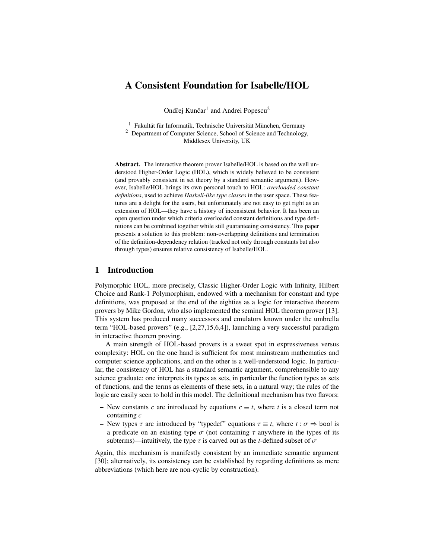# A Consistent Foundation for Isabelle/HOL

Ondřej Kunčar<sup>1</sup> and Andrei Popescu<sup>2</sup>

<sup>1</sup> Fakultät für Informatik, Technische Universität München, Germany <sup>2</sup> Department of Computer Science, School of Science and Technology, Middlesex University, UK

Abstract. The interactive theorem prover Isabelle/HOL is based on the well understood Higher-Order Logic (HOL), which is widely believed to be consistent (and provably consistent in set theory by a standard semantic argument). However, Isabelle/HOL brings its own personal touch to HOL: *overloaded constant definitions*, used to achieve *Haskell-like type classes* in the user space. These features are a delight for the users, but unfortunately are not easy to get right as an extension of HOL—they have a history of inconsistent behavior. It has been an open question under which criteria overloaded constant definitions and type definitions can be combined together while still guaranteeing consistency. This paper presents a solution to this problem: non-overlapping definitions and termination of the definition-dependency relation (tracked not only through constants but also through types) ensures relative consistency of Isabelle/HOL.

# 1 Introduction

Polymorphic HOL, more precisely, Classic Higher-Order Logic with Infinity, Hilbert Choice and Rank-1 Polymorphism, endowed with a mechanism for constant and type definitions, was proposed at the end of the eighties as a logic for interactive theorem provers by Mike Gordon, who also implemented the seminal HOL theorem prover [\[13\]](#page-16-0). This system has produced many successors and emulators known under the umbrella term "HOL-based provers" (e.g., [\[2,](#page-16-1)[27,](#page-16-2)[15,](#page-16-3)[6,](#page-16-4)[4\]](#page-16-5)), launching a very successful paradigm in interactive theorem proving.

A main strength of HOL-based provers is a sweet spot in expressiveness versus complexity: HOL on the one hand is sufficient for most mainstream mathematics and computer science applications, and on the other is a well-understood logic. In particular, the consistency of HOL has a standard semantic argument, comprehensible to any science graduate: one interprets its types as sets, in particular the function types as sets of functions, and the terms as elements of these sets, in a natural way; the rules of the logic are easily seen to hold in this model. The definitional mechanism has two flavors:

- New constants *c* are introduced by equations  $c \equiv t$ , where *t* is a closed term not containing *c*
- New types  $\tau$  are introduced by "typedef" equations  $\tau \equiv t$ , where  $t : \sigma \Rightarrow$  bool is a predicate on an existing type  $\sigma$  (not containing  $\tau$  anywhere in the types of its subterms)—intuitively, the type  $\tau$  is carved out as the *t*-defined subset of  $\sigma$

Again, this mechanism is manifestly consistent by an immediate semantic argument [\[30\]](#page-16-6); alternatively, its consistency can be established by regarding definitions as mere abbreviations (which here are non-cyclic by construction).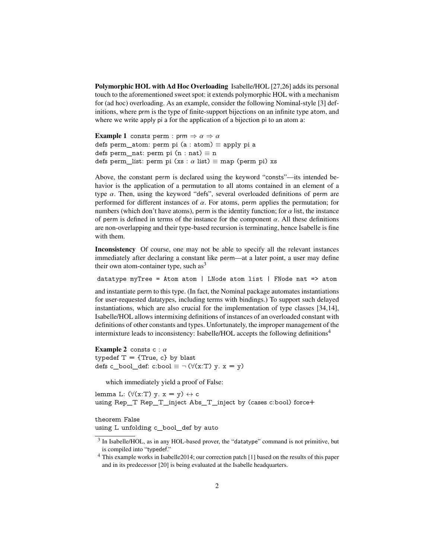Polymorphic HOL with Ad Hoc Overloading Isabelle/HOL [\[27,](#page-16-2)[26\]](#page-16-7) adds its personal touch to the aforementioned sweet spot: it extends polymorphic HOL with a mechanism for (ad hoc) overloading. As an example, consider the following Nominal-style [\[3\]](#page-16-8) definitions, where prm is the type of finite-support bijections on an infinite type atom, and where we write apply pi a for the application of a bijection pi to an atom a:

<span id="page-1-2"></span>**Example 1** consts perm : prm  $\Rightarrow \alpha \Rightarrow \alpha$ defs perm\_atom: perm pi (a : atom)  $\equiv$  apply pi a defs perm\_nat: perm pi  $(n : nat) \equiv n$ defs perm\_list: perm pi (xs :  $\alpha$  list)  $\equiv$  map (perm pi) xs

Above, the constant perm is declared using the keyword "consts"—its intended behavior is the application of a permutation to all atoms contained in an element of a type  $\alpha$ . Then, using the keyword "defs", several overloaded definitions of perm are performed for different instances of  $\alpha$ . For atoms, perm applies the permutation; for numbers (which don't have atoms), perm is the identity function; for  $\alpha$  list, the instance of perm is defined in terms of the instance for the component  $\alpha$ . All these definitions are non-overlapping and their type-based recursion is terminating, hence Isabelle is fine with them.

Inconsistency Of course, one may not be able to specify all the relevant instances immediately after declaring a constant like perm—at a later point, a user may define their own atom-container type, such  $as<sup>3</sup>$  $as<sup>3</sup>$  $as<sup>3</sup>$ 

datatype myTree = Atom atom | LNode atom list | FNode nat => atom

and instantiate perm to this type. (In fact, the Nominal package automates instantiations for user-requested datatypes, including terms with bindings.) To support such delayed instantiations, which are also crucial for the implementation of type classes [\[34](#page-17-0)[,14\]](#page-16-9), Isabelle/HOL allows intermixing definitions of instances of an overloaded constant with definitions of other constants and types. Unfortunately, the improper management of the intermixture leads to inconsistency: Isabelle/HOL accepts the following definitions[4](#page-1-1)

Example 2 consts c :  $\alpha$ typedef  $T = {True, c}$  by blast defs c\_bool\_def: c:bool  $\equiv \neg (\forall (x:T) \vee x = \vee y)$ 

<span id="page-1-3"></span>which immediately yield a proof of False:

lemma L:  $(\forall (x:T) \ y. x = y) \leftrightarrow c$ using Rep\_T Rep\_T\_inject Abs\_T\_inject by (cases c:bool) force+

theorem False using L unfolding c\_bool\_def by auto

<span id="page-1-0"></span><sup>&</sup>lt;sup>3</sup> In Isabelle/HOL, as in any HOL-based prover, the "datatype" command is not primitive, but is compiled into "typedef."

<span id="page-1-1"></span><sup>4</sup> This example works in Isabelle2014; our correction patch [\[1\]](#page-16-10) based on the results of this paper and in its predecessor [\[20\]](#page-16-11) is being evaluated at the Isabelle headquarters.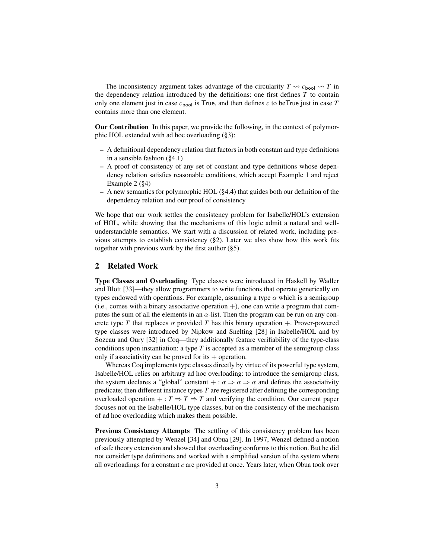The inconsistency argument takes advantage of the circularity  $T \rightsquigarrow c_{\text{bool}} \rightsquigarrow T$  in the dependency relation introduced by the definitions: one first defines *T* to contain only one element just in case  $c_{\text{bool}}$  is True, and then defines  $c$  to beTrue just in case  $T$ contains more than one element.

Our Contribution In this paper, we provide the following, in the context of polymorphic HOL extended with ad hoc overloading ([§3\)](#page-4-0):

- A definitional dependency relation that factors in both constant and type definitions in a sensible fashion ([§4.1\)](#page-8-0)
- A proof of consistency of any set of constant and type definitions whose dependency relation satisfies reasonable conditions, which accept Example [1](#page-1-2) and reject Example [2](#page-1-3) ([§4\)](#page-8-1)
- A new semantics for polymorphic HOL ([§4.4\)](#page-11-0) that guides both our definition of the dependency relation and our proof of consistency

We hope that our work settles the consistency problem for Isabelle/HOL's extension of HOL, while showing that the mechanisms of this logic admit a natural and wellunderstandable semantics. We start with a discussion of related work, including previous attempts to establish consistency ([§2\)](#page-2-0). Later we also show how this work fits together with previous work by the first author ([§5\)](#page-14-0).

## <span id="page-2-0"></span>2 Related Work

Type Classes and Overloading Type classes were introduced in Haskell by Wadler and Blott [\[33\]](#page-17-1)—they allow programmers to write functions that operate generically on types endowed with operations. For example, assuming a type  $\alpha$  which is a semigroup  $(i.e., comes with a binary associative operation  $+$ ), one can write a program that com$ putes the sum of all the elements in an  $\alpha$ -list. Then the program can be run on any concrete type *T* that replaces  $\alpha$  provided *T* has this binary operation  $+$ . Prover-powered type classes were introduced by Nipkow and Snelting [\[28\]](#page-16-12) in Isabelle/HOL and by Sozeau and Oury [\[32\]](#page-17-2) in Coq—they additionally feature verifiability of the type-class conditions upon instantiation: a type *T* is accepted as a member of the semigroup class only if associativity can be proved for its  $+$  operation.

Whereas Coq implements type classes directly by virtue of its powerful type system, Isabelle/HOL relies on arbitrary ad hoc overloading: to introduce the semigroup class, the system declares a "global" constant + :  $\alpha \Rightarrow \alpha \Rightarrow \alpha$  and defines the associativity predicate; then different instance types *T* are registered after defining the corresponding overloaded operation + :  $T \Rightarrow T \Rightarrow T$  and verifying the condition. Our current paper focuses not on the Isabelle/HOL type classes, but on the consistency of the mechanism of ad hoc overloading which makes them possible.

Previous Consistency Attempts The settling of this consistency problem has been previously attempted by Wenzel [\[34\]](#page-17-0) and Obua [\[29\]](#page-16-13). In 1997, Wenzel defined a notion of safe theory extension and showed that overloading conforms to this notion. But he did not consider type definitions and worked with a simplified version of the system where all overloadings for a constant *c* are provided at once. Years later, when Obua took over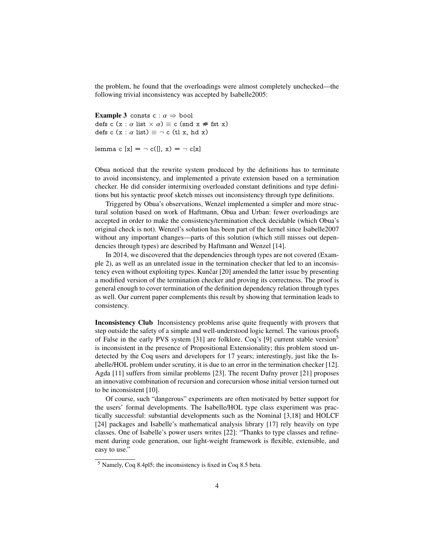<span id="page-3-1"></span>the problem, he found that the overloadings were almost completely unchecked—the following trivial inconsistency was accepted by Isabelle2005:

**Example 3** consts  $c : \alpha \Rightarrow$  bool defs c (x :  $\alpha$  list  $\times$   $\alpha$ )  $\equiv$  c (snd x  $\#$  fst x) defs c (x :  $\alpha$  list)  $\equiv \neg$  c (tl x, hd x)

lemma c  $[x] = \neg c([], x) = \neg c[x]$ 

Obua noticed that the rewrite system produced by the definitions has to terminate to avoid inconsistency, and implemented a private extension based on a termination checker. He did consider intermixing overloaded constant definitions and type definitions but his syntactic proof sketch misses out inconsistency through type definitions.

Triggered by Obua's observations, Wenzel implemented a simpler and more structural solution based on work of Haftmann, Obua and Urban: fewer overloadings are accepted in order to make the consistency/termination check decidable (which Obua's original check is not). Wenzel's solution has been part of the kernel since Isabelle2007 without any important changes—parts of this solution (which still misses out dependencies through types) are described by Haftmann and Wenzel [\[14\]](#page-16-9).

In 2014, we discovered that the dependencies through types are not covered (Example [2\)](#page-1-3), as well as an unrelated issue in the termination checker that led to an inconsis-tency even without exploiting types. Kunčar [\[20\]](#page-16-11) amended the latter issue by presenting a modified version of the termination checker and proving its correctness. The proof is general enough to cover termination of the definition dependency relation through types as well. Our current paper complements this result by showing that termination leads to consistency.

Inconsistency Club Inconsistency problems arise quite frequently with provers that step outside the safety of a simple and well-understood logic kernel. The various proofs of False in the early PVS system [\[31\]](#page-17-3) are folklore. Coq's [\[9\]](#page-16-14) current stable version<sup>[5](#page-3-0)</sup> is inconsistent in the presence of Propositional Extensionality; this problem stood undetected by the Coq users and developers for 17 years; interestingly, just like the Isabelle/HOL problem under scrutiny, it is due to an error in the termination checker [\[12\]](#page-16-15). Agda [\[11\]](#page-16-16) suffers from similar problems [\[23\]](#page-16-17). The recent Dafny prover [\[21\]](#page-16-18) proposes an innovative combination of recursion and corecursion whose initial version turned out to be inconsistent [\[10\]](#page-16-19).

Of course, such "dangerous" experiments are often motivated by better support for the users' formal developments. The Isabelle/HOL type class experiment was practically successful: substantial developments such as the Nominal [\[3](#page-16-8)[,18\]](#page-16-20) and HOLCF [\[24\]](#page-16-21) packages and Isabelle's mathematical analysis library [\[17\]](#page-16-22) rely heavily on type classes. One of Isabelle's power users writes [\[22\]](#page-16-23): "Thanks to type classes and refinement during code generation, our light-weight framework is flexible, extensible, and easy to use."

<span id="page-3-0"></span><sup>5</sup> Namely, Coq 8.4pl5; the inconsistency is fixed in Coq 8.5 beta.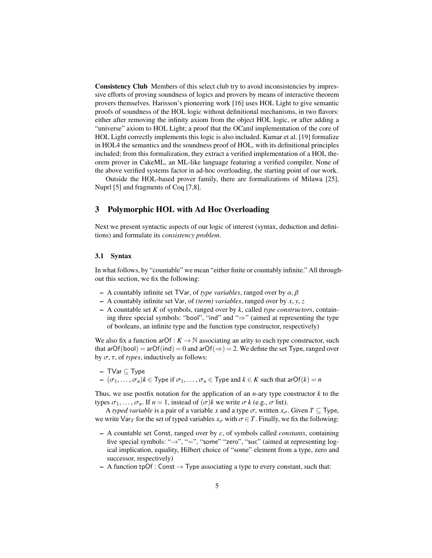Consistency Club Members of this select club try to avoid inconsistencies by impressive efforts of proving soundness of logics and provers by means of interactive theorem provers themselves. Harisson's pioneering work [\[16\]](#page-16-24) uses HOL Light to give semantic proofs of soundness of the HOL logic without definitional mechanisms, in two flavors: either after removing the infinity axiom from the object HOL logic, or after adding a "universe" axiom to HOL Light; a proof that the OCaml implementation of the core of HOL Light correctly implements this logic is also included. Kumar et al. [\[19\]](#page-16-25) formalize in HOL4 the semantics and the soundness proof of HOL, with its definitional principles included; from this formalization, they extract a verified implementation of a HOL theorem prover in CakeML, an ML-like language featuring a verified compiler. None of the above verified systems factor in ad-hoc overloading, the starting point of our work.

Outside the HOL-based prover family, there are formalizations of Milawa [\[25\]](#page-16-26), Nuprl [\[5\]](#page-16-27) and fragments of Coq [\[7](#page-16-28)[,8\]](#page-16-29).

# <span id="page-4-0"></span>3 Polymorphic HOL with Ad Hoc Overloading

Next we present syntactic aspects of our logic of interest (syntax, deduction and definitions) and formulate its *consistency problem*.

#### 3.1 Syntax

In what follows, by "countable" we mean "either finite or countably infinite." All throughout this section, we fix the following:

- $-$  A countably infinite set TVar, of *type variables*, ranged over by  $\alpha$ ,  $\beta$
- A countably infinite set Var, of *(term) variables*, ranged over by *<sup>x</sup>*, *<sup>y</sup>*, *<sup>z</sup>*
- A countable set *K* of symbols, ranged over by *k*, called *type constructors*, containing three special symbols: "bool", "ind" and "⇒" (aimed at representing the type of booleans, an infinite type and the function type constructor, respectively)

We also fix a function arOf :  $K \to \mathbb{N}$  associating an arity to each type constructor, such that arOf(bool) = arOf(ind) = 0 and arOf( $\Rightarrow$ ) = 2. We define the set Type, ranged over by  $\sigma$ ,  $\tau$ , of *types*, inductively as follows:

– TVar ⊆ Type  $(-\sigma_1, \ldots, \sigma_n)k \in \text{Type if } \sigma_1, \ldots, \sigma_n \in \text{Type and } k \in K \text{ such that } \text{arOf}(k) = n$ 

Thus, we use postfix notation for the application of an *n*-ary type constructor *k* to the

types  $\sigma_1, \ldots, \sigma_n$ . If  $n = 1$ , instead of  $(\sigma)$ *k* we write  $\sigma$ *k* (e.g.,  $\sigma$  list). A *typed variable* is a pair of a variable *x* and a type  $\sigma$ , written  $x_{\sigma}$ . Given  $T \subseteq$  Type,

we write Var<sub>*T*</sub> for the set of typed variables  $x_{\sigma}$  with  $\sigma \in T$ . Finally, we fix the following:

- A countable set Const, ranged over by *c*, of symbols called *constants*, containing five special symbols: "→", "=", "some" "zero", "suc" (aimed at representing logical implication, equality, Hilbert choice of "some" element from a type, zero and successor, respectively)
- A function tpOf : Const  $\rightarrow$  Type associating a type to every constant, such that: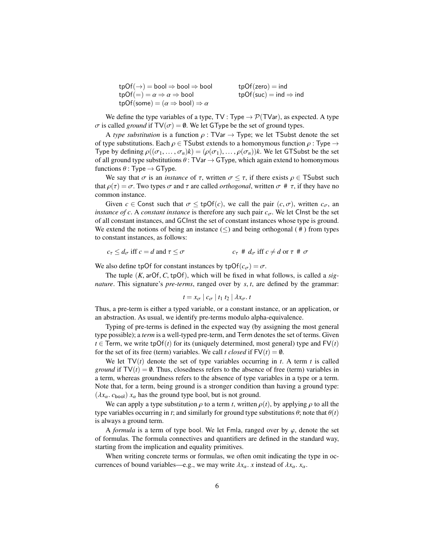| $tpOf(\rightarrow) = bool \Rightarrow bool \Rightarrow bool$ | $tpOf(zero) = ind$                |
|--------------------------------------------------------------|-----------------------------------|
| $tpOf(=)=\alpha \Rightarrow \alpha \Rightarrow$ bool         | $tpOf(suc) = ind \Rightarrow ind$ |
| $tpOf(some) = (\alpha \Rightarrow bool) \Rightarrow \alpha$  |                                   |
|                                                              |                                   |

We define the type variables of a type,  $TV: Type \rightarrow \mathcal{P}(TVar)$ , as expected. A type  $\sigma$  is called *ground* if  $TV(\sigma) = \emptyset$ . We let GType be the set of ground types.

A *type substitution* is a function  $\rho : TVar \rightarrow Type$ ; we let TSubst denote the set of type substitutions. Each  $\rho \in \mathsf{TSubst}$  extends to a homonymous function  $\rho : \mathsf{Type} \rightarrow$ Type by defining  $\rho((\sigma_1, ..., \sigma_n)k) = (\rho(\sigma_1), ..., \rho(\sigma_n))k$ . We let GTSubst be the set of all ground type substitutions  $\theta$ : TVar  $\rightarrow$  GType, which again extend to homonymous functions  $\theta$  : Type  $\rightarrow$  GType.

We say that  $\sigma$  is an *instance* of  $\tau$ , written  $\sigma \leq \tau$ , if there exists  $\rho \in T$ Subst such that  $\rho(\tau) = \sigma$ . Two types  $\sigma$  and  $\tau$  are called *orthogonal*, written  $\sigma \neq \tau$ , if they have no common instance.

Given  $c \in$  Const such that  $\sigma \leq \text{tpOf}(c)$ , we call the pair  $(c, \sigma)$ , written  $c_{\sigma}$ , and *instance of c.* A *constant instance* is therefore any such pair  $c_{\sigma}$ . We let Clnst be the set of all constant instances, and GCInst the set of constant instances whose type is ground. We extend the notions of being an instance  $(\le)$  and being orthogonal (#) from types to constant instances, as follows:

$$
c_{\tau} \le d_{\sigma} \text{ iff } c = d \text{ and } \tau \le \sigma \qquad \qquad c_{\tau} \# d_{\sigma} \text{ iff } c \ne d \text{ or } \tau \# \sigma
$$

We also define tpOf for constant instances by tpOf( $c_{\sigma}$ ) =  $\sigma$ .

The tuple (*K*, arOf, *<sup>C</sup>*, tpOf), which will be fixed in what follows, is called a *signature*. This signature's *pre-terms*, ranged over by *<sup>s</sup>*, *<sup>t</sup>*, are defined by the grammar:

$$
t = x_{\sigma} \mid c_{\sigma} \mid t_1 \mid t_2 \mid \lambda x_{\sigma}.
$$

Thus, a pre-term is either a typed variable, or a constant instance, or an application, or an abstraction. As usual, we identify pre-terms modulo alpha-equivalence.

Typing of pre-terms is defined in the expected way (by assigning the most general type possible); a *term* is a well-typed pre-term, and Term denotes the set of terms. Given *t* ∈ Term, we write tpOf(*t*) for its (uniquely determined, most general) type and  $FV(t)$ for the set of its free (term) variables. We call *t closed* if  $FV(t) = \emptyset$ .

We let  $TV(t)$  denote the set of type variables occurring in *t*. A term *t* is called *ground* if  $TV(t) = \emptyset$ . Thus, closedness refers to the absence of free (term) variables in a term, whereas groundness refers to the absence of type variables in a type or a term. Note that, for a term, being ground is a stronger condition than having a ground type:  $(\lambda x_{\alpha}, c_{\text{bool}})$   $x_{\alpha}$  has the ground type bool, but is not ground.

We can apply a type substitution  $\rho$  to a term *t*, written  $\rho(t)$ , by applying  $\rho$  to all the type variables occurring in *t*; and similarly for ground type substitutions  $\theta$ ; note that  $\theta(t)$ is always a ground term.

A *formula* is a term of type bool. We let Fmla, ranged over by  $\varphi$ , denote the set of formulas. The formula connectives and quantifiers are defined in the standard way, starting from the implication and equality primitives.

When writing concrete terms or formulas, we often omit indicating the type in occurrences of bound variables—e.g., we may write  $\lambda x_{\alpha}$ . *x* instead of  $\lambda x_{\alpha}$ . *x*<sub>α</sub>.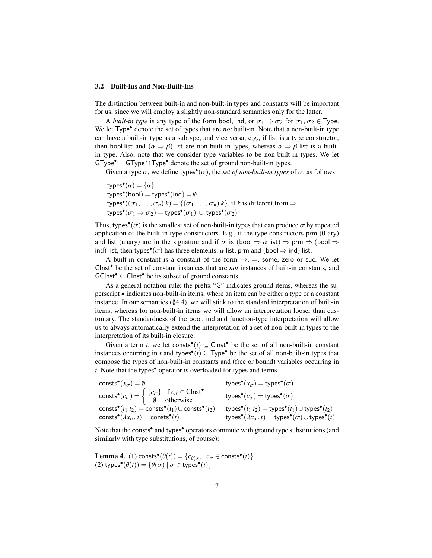#### 3.2 Built-Ins and Non-Built-Ins

The distinction between built-in and non-built-in types and constants will be important for us, since we will employ a slightly non-standard semantics only for the latter.

A *built-in type* is any type of the form bool, ind, or  $\sigma_1 \Rightarrow \sigma_2$  for  $\sigma_1, \sigma_2 \in \text{Type.}$ We let Type<sup>•</sup> denote the set of types that are *not* built-in. Note that a non-built-in type can have a built-in type as a subtype, and vice versa; e.g., if list is a type constructor, then bool list and  $(\alpha \Rightarrow \beta)$  list are non-built-in types, whereas  $\alpha \Rightarrow \beta$  list is a builtin type. Also, note that we consider type variables to be non-built-in types. We let  $GType^{\bullet} = GType \cap Type^{\bullet}$  denote the set of ground non-built-in types.

Given a type  $\sigma$ , we define types<sup>•</sup>( $\sigma$ ), the *set of non-built-in types* of  $\sigma$ , as follows:

types<sup>•</sup> $(\alpha) = {\alpha}$ <br>types•(bool) — t  $type^{\bullet} (bool) = type^{\bullet} (ind) = \emptyset$ types<sup>•</sup> $((\sigma_1, ..., \sigma_n) k) = {(\sigma_1, ..., \sigma_n) k}$ , if *k* is different from  $\Rightarrow$ <br>types<sup>•</sup> $(\sigma_1 \rightarrow \sigma_2)$  = types<sup>•</sup> $(\sigma_2)$  + types<sup>•</sup> $(\sigma_1)$ types<sup>•</sup>( $\sigma_1 \Rightarrow \sigma_2$ ) = types°( $\sigma_1$ ) ∪ types°( $\sigma_2$ )

Thus, types<sup>•</sup>( $\sigma$ ) is the smallest set of non-built-in types that can produce  $\sigma$  by repeated<br>application of the built-in type constructors E  $\sigma$ , if the type constructors prm (0-ary) application of the built-in type constructors. E.g., if the type constructors prm  $(0-ary)$ and list (unary) are in the signature and if  $\sigma$  is (bool  $\Rightarrow \alpha$  list)  $\Rightarrow$  prm  $\Rightarrow$  (bool  $\Rightarrow$ ind) list, then types• $(\sigma)$  has three elements:  $\alpha$  list, prm and (bool  $\Rightarrow$  ind) list.

A built-in constant is a constant of the form  $\rightarrow$ , =, some, zero or suc. We let CInst• be the set of constant instances that are *not* instances of built-in constants, and  $GClnst^{\bullet} \subseteq Clnst^{\bullet}$  be its subset of ground constants.

As a general notation rule: the prefix "G" indicates ground items, whereas the superscript • indicates non-built-in items, where an item can be either a type or a constant instance. In our semantics ([§4.4\)](#page-11-0), we will stick to the standard interpretation of built-in items, whereas for non-built-in items we will allow an interpretation looser than customary. The standardness of the bool, ind and function-type interpretation will allow us to always automatically extend the interpretation of a set of non-built-in types to the interpretation of its built-in closure.

Given a term *t*, we let consts<sup>•</sup>(*t*)  $\subseteq$  Clnst<sup>•</sup> be the set of all non-built-in constant instances occurring in *t* and types<sup>•</sup>( $t$ )  $\subseteq$  Type<sup>•</sup> be the set of all non-built-in types that compose the types of non-built-in constants and (free or bound) variables occurring in *t*. Note that the types<sup>•</sup> operator is overloaded for types and terms.

consts<sup>•</sup>( $x_{\sigma}$ ) = 0 types<sup>•</sup>( $x_{\sigma}$ ) = types<sup>•</sup>( $\sigma$ ) types<sup>•</sup>( $\sigma$ ) consts<sup>•</sup> $(c_{\sigma}) = \begin{cases} {c_{\sigma}} \text{ if } c_{\sigma} \in \text{Clnst}^{\bullet} \\ \emptyset \text{ otherwise} \end{cases}$  types<sup>•</sup> $(c_{\sigma}) = \text{types}^{\bullet}(\sigma)$  $\text{consts}^{\bullet}(t_1 | t_2) = \text{consts}^{\bullet}(t_1) \cup \text{consts}^{\bullet}(t_2) \quad \text{ types}^{\bullet}(t_1 | t_2) = \text{types}^{\bullet}(t_1) \cup \text{types}^{\bullet}(t_2)$  $\text{consts}^{\bullet}(\lambda x_{\sigma}, t) = \text{consts}^{\bullet}$ (*t*) types•  $(\lambda x_{\sigma}, t) = \text{types}^{\bullet}(\sigma) \cup \text{types}^{\bullet}(t)$ 

Note that the consts<sup>•</sup> and types<sup>•</sup> operators commute with ground type substitutions (and similarly with type substitutions, of course):

<span id="page-6-0"></span>Lemma 4. (1) consts<sup>•</sup>( $\theta(t)$ ) = { $c_{\theta(\sigma)} | c_{\sigma} \in \text{const}$ °(*t*)}<br>(2) types<sup>•</sup>( $\theta(t)$ ) = *f* $\theta(\sigma) | \sigma \in \text{true}$ °(*t*)} (2) types<sup>•</sup>( $\theta(t)$ ) = { $\theta(\sigma) | \sigma \in \text{types}^{\bullet}(t)$ }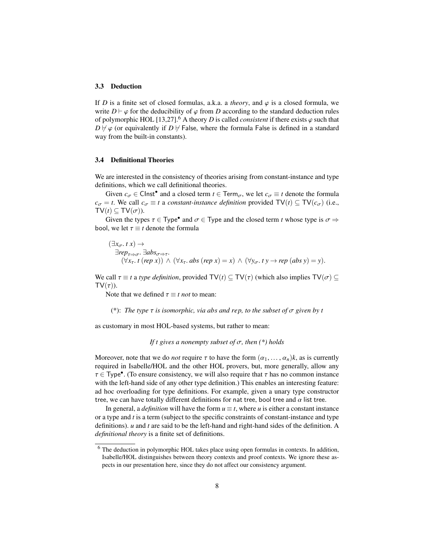#### 3.3 Deduction

If *D* is a finite set of closed formulas, a.k.a. a *theory*, and  $\varphi$  is a closed formula, we write  $D \vdash \varphi$  for the deducibility of  $\varphi$  from *D* according to the standard deduction rules of polymorphic HOL [\[13](#page-16-0)[,27\]](#page-16-2).<sup>[6](#page-7-0)</sup> A theory *D* is called *consistent* if there exists  $\varphi$  such that  $D \not\vdash \varphi$  (or equivalently if  $D \not\vdash$  False, where the formula False is defined in a standard way from the built-in constants).

### 3.4 Definitional Theories

We are interested in the consistency of theories arising from constant-instance and type definitions, which we call definitional theories.

Given  $c_{\sigma} \in \text{Clnst}^{\bullet}$  and a closed term  $t \in \text{Term}_{\sigma}$ , we let  $c_{\sigma} \equiv t$  denote the formula<br> $\sigma_t \in \text{W}$  call  $c_{\sigma} \equiv t$  a constant instance definition provided  $\text{TV}(t) \subseteq \text{TV}(c_0)$  (i.e.  $c_{\sigma} = t$ . We call  $c_{\sigma} \equiv t$  a *constant-instance definition* provided  $\text{TV}(t) \subseteq \text{TV}(c_{\sigma})$  (i.e.,  $TV(t) \subseteq TV(\sigma)$ ).

Given the types  $\tau \in \text{Type}^{\bullet}$  and  $\sigma \in \text{Type}$  and the closed term *t* whose type is  $\sigma \Rightarrow$ bool, we let  $\tau \equiv t$  denote the formula

$$
(\exists x_{\sigma}. t x) \rightarrow \n\exists rep_{\tau \Rightarrow \sigma}. \exists abs_{\sigma \Rightarrow \tau}.\n(\forall x_{\tau}. t (rep x)) \land (\forall x_{\tau}. abs (rep x) = x) \land (\forall y_{\sigma}. ty \rightarrow rep (abs y) = y).
$$

We call  $\tau \equiv t$  a *type definition*, provided  $TV(t) \subseteq TV(\tau)$  (which also implies  $TV(\sigma) \subseteq$  $TV(\tau)$ ).

Note that we defined  $\tau \equiv t$  *not* to mean:

(\*): *The type*  $\tau$  *is isomorphic, via abs and rep, to the subset of*  $\sigma$  *given by t* 

as customary in most HOL-based systems, but rather to mean:

#### *If <sup>t</sup> gives a nonempty subset of* σ*, then (\*) holds*

Moreover, note that we do *not* require  $\tau$  to have the form  $(\alpha_1, \ldots, \alpha_n)k$ , as is currently required in Isabelle/HOL and the other HOL provers, but, more generally, allow any  $\tau \in \text{Type}^{\bullet}$ . (To ensure consistency, we will also require that  $\tau$  has no common instance<br>with the left-hand side of any other type definition.) This enables an interesting feature: with the left-hand side of any other type definition.) This enables an interesting feature: ad hoc overloading for type definitions. For example, given a unary type constructor tree, we can have totally different definitions for nat tree, bool tree and  $\alpha$  list tree.

In general, a *definition* will have the form  $u \equiv t$ , where *u* is either a constant instance or a type and *t* is a term (subject to the specific constraints of constant-instance and type definitions). *u* and *t* are said to be the left-hand and right-hand sides of the definition. A *definitional theory* is a finite set of definitions.

<span id="page-7-0"></span><sup>6</sup> The deduction in polymorphic HOL takes place using open formulas in contexts. In addition, Isabelle/HOL distinguishes between theory contexts and proof contexts. We ignore these aspects in our presentation here, since they do not affect our consistency argument.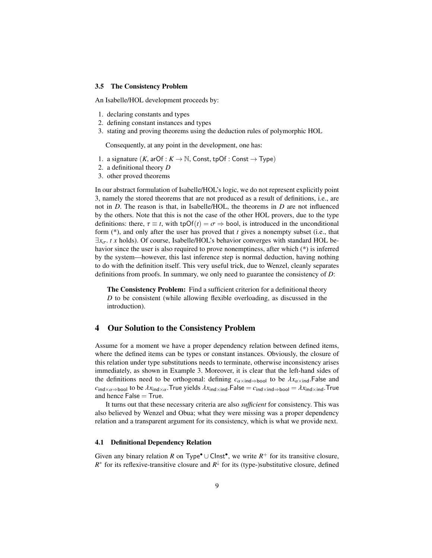### 3.5 The Consistency Problem

An Isabelle/HOL development proceeds by:

- 1. declaring constants and types
- 2. defining constant instances and types
- 3. stating and proving theorems using the deduction rules of polymorphic HOL

Consequently, at any point in the development, one has:

- 1. a signature  $(K, arOf: K \to \mathbb{N}, Const, tpOf: Const \to Type)$
- 2. a definitional theory *D*
- 3. other proved theorems

In our abstract formulation of Isabelle/HOL's logic, we do not represent explicitly point 3, namely the stored theorems that are not produced as a result of definitions, i.e., are not in *D*. The reason is that, in Isabelle/HOL, the theorems in *D* are not influenced by the others. Note that this is not the case of the other HOL provers, due to the type definitions: there,  $\tau \equiv t$ , with  $\text{tpOf}(t) = \sigma \Rightarrow \text{bool}$ , is introduced in the unconditional form (\*), and only after the user has proved that *t* gives a nonempty subset (i.e., that <sup>∃</sup>*x*σ. *t x* holds). Of course, Isabelle/HOL's behavior converges with standard HOL behavior since the user is also required to prove nonemptiness, after which (\*) is inferred by the system—however, this last inference step is normal deduction, having nothing to do with the definition itself. This very useful trick, due to Wenzel, cleanly separates definitions from proofs. In summary, we only need to guarantee the consistency of *D*:

The Consistency Problem: Find a sufficient criterion for a definitional theory *D* to be consistent (while allowing flexible overloading, as discussed in the introduction).

### <span id="page-8-1"></span>4 Our Solution to the Consistency Problem

Assume for a moment we have a proper dependency relation between defined items, where the defined items can be types or constant instances. Obviously, the closure of this relation under type substitutions needs to terminate, otherwise inconsistency arises immediately, as shown in Example [3.](#page-3-1) Moreover, it is clear that the left-hand sides of the definitions need to be orthogonal: defining  $c_{\alpha \times \text{ind}\Rightarrow \text{bool}}$  to be  $\lambda x_{\alpha \times \text{ind}}$ . False and  $c_{\text{ind}\times\alpha\Rightarrow\text{bool}}$  to be  $\lambda x_{\text{ind}\times\alpha}$ . True yields  $\lambda x_{\text{ind}\times\text{ind}}$ . False  $=c_{\text{ind}\times\text{ind}\Rightarrow\text{bool}}=\lambda x_{\text{ind}\times\text{ind}}$ . True and hence  $False = True$ .

It turns out that these necessary criteria are also *sufficient* for consistency. This was also believed by Wenzel and Obua; what they were missing was a proper dependency relation and a transparent argument for its consistency, which is what we provide next.

### <span id="page-8-0"></span>4.1 Definitional Dependency Relation

Given any binary relation *R* on Type<sup>•</sup>  $\cup$  Clnst<sup>•</sup>, we write  $R^+$  for its transitive closure,  $R^*$  for its reflexive-transitive closure and  $R^{\downarrow}$  for its (type-)substitutive closure, defined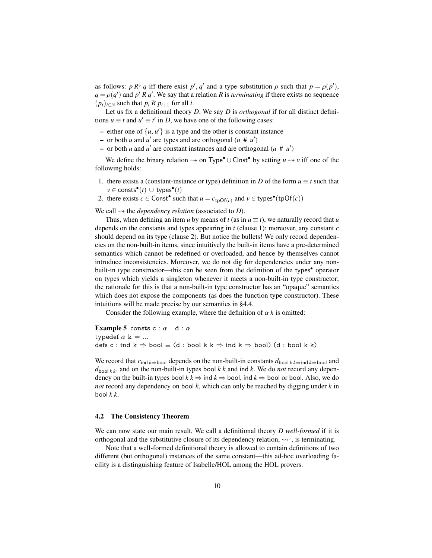as follows: *p R*<sup>↓</sup> *q* iff there exist *p'*, *q'* and a type substitution  $\rho$  such that  $p = \rho(p')$ ,  $q - \rho(q')$  and  $p' R q'$ . We say that a relation R is *terminating* if there exists no sequence  $q = \rho(q')$  and *p*<sup>*R*</sup> *R*<sup> $q'$ </sup>. We say that a relation *R* is *terminating* if there exists no sequence  $(n)$ , we such that *n*. *R n*<sub>1</sub>, *t n*<sup>1</sup> *R n*<sub>1</sub>, *t n*<sup>1</sup> *i*  $(p_i)_{i \in \mathbb{N}}$  such that  $p_i R p_{i+1}$  for all *i*.

Let us fix a definitional theory *D*. We say *D* is *orthogonal* if for all distinct definitions  $u \equiv t$  and  $u' \equiv t'$  in *D*, we have one of the following cases:

- either one of  $\{u, u'\}$  is a type and the other is constant instance<br>– or both *u* and *u'* are types and are orthogonal  $(u + u')$
- or both *u* and  $u'$  are types and are orthogonal  $(u \# u')$
- $-$  or both *u* and *u'* are constant instances and are orthogonal (*u* # *u'*)

We define the binary relation  $\leadsto$  on Type<sup>•</sup> ∪ Clnst<sup>•</sup> by setting  $u \leadsto v$  iff one of the following holds:

- 1. there exists a (constant-instance or type) definition in *D* of the form  $u \equiv t$  such that *v* ∈ consts• (*t*) ∪ types• (*t*)
- 2. there exists  $c \in \text{Const}^{\bullet}$  such that  $u = c_{\text{tpOf}(c)}$  and  $v \in \text{types}^{\bullet}(\text{tpOf}(c))$

We call  $\rightsquigarrow$  the *dependency relation* (associated to *D*).

Thus, when defining an item *u* by means of  $t$  (as in  $u \equiv t$ ), we naturally record that *u* depends on the constants and types appearing in *t* (clause 1); moreover, any constant *c* should depend on its type (clause 2). But notice the bullets! We only record dependencies on the non-built-in items, since intuitively the built-in items have a pre-determined semantics which cannot be redefined or overloaded, and hence by themselves cannot introduce inconsistencies. Moreover, we do not dig for dependencies under any nonbuilt-in type constructor—this can be seen from the definition of the types<sup>•</sup> operator on types which yields a singleton whenever it meets a non-built-in type constructor; the rationale for this is that a non-built-in type constructor has an "opaque" semantics which does not expose the components (as does the function type constructor). These intuitions will be made precise by our semantics in [§4.4.](#page-11-0)

Consider the following example, where the definition of  $\alpha$  *k* is omitted:

**Example 5** consts c :  $\alpha$  d :  $\alpha$ typedef  $\alpha$  k = ... defs c : ind  $k \Rightarrow$  bool  $\equiv$  (d : bool k  $k \Rightarrow$  ind  $k \Rightarrow$  bool) (d : bool k k)

We record that  $c_{ind\ k \Rightarrow bool}$  depends on the non-built-in constants  $d_{bool\ k\ k \Rightarrow ind\ k \Rightarrow bool}$  and  $d_{\text{bool }kk}$ , and on the non-built-in types bool *k k* and ind *k*. We do *not* record any dependency on the built-in types bool  $k \neq k$  ind  $k \Rightarrow$  bool, ind  $k \Rightarrow$  bool or bool. Also, we do *not* record any dependency on bool *k*, which can only be reached by digging under *k* in bool  $k \, k$ .

#### 4.2 The Consistency Theorem

We can now state our main result. We call a definitional theory *D well-formed* if it is orthogonal and the substitutive closure of its dependency relation,  $\leadsto^{\downarrow}$ , is terminating.

Note that a well-formed definitional theory is allowed to contain definitions of two different (but orthogonal) instances of the same constant—this ad-hoc overloading facility is a distinguishing feature of Isabelle/HOL among the HOL provers.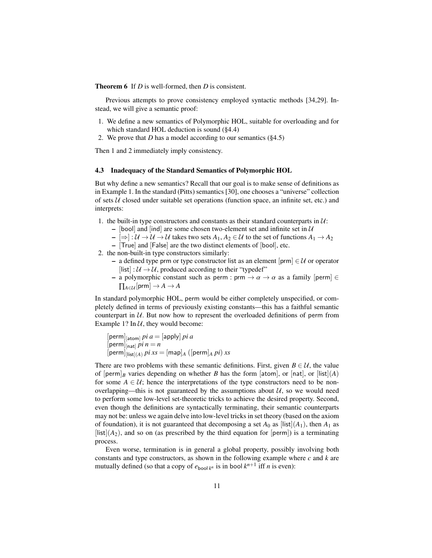Theorem 6 If *D* is well-formed, then *D* is consistent.

Previous attempts to prove consistency employed syntactic methods [\[34](#page-17-0)[,29\]](#page-16-13). Instead, we will give a semantic proof:

- 1. We define a new semantics of Polymorphic HOL, suitable for overloading and for which standard HOL deduction is sound ([§4.4\)](#page-11-0)
- 2. We prove that *D* has a model according to our semantics ([§4.5\)](#page-13-0)

Then 1 and 2 immediately imply consistency.

### 4.3 Inadequacy of the Standard Semantics of Polymorphic HOL

But why define a new semantics? Recall that our goal is to make sense of definitions as in Example [1.](#page-1-2) In the standard (Pitts) semantics [\[30\]](#page-16-6), one chooses a "universe" collection of sets  $U$  closed under suitable set operations (function space, an infinite set, etc.) and interprets:

- 1. the built-in type constructors and constants as their standard counterparts in  $\mathcal{U}$ :
	- [bool] and [ind] are some chosen two-element set and infinite set in  $U$
	- $\Rightarrow$   $\exists$  :  $\mathcal{U} \rightarrow \mathcal{U} \rightarrow \mathcal{U}$  takes two sets  $A_1, A_2 \in \mathcal{U}$  to the set of functions  $A_1 \rightarrow A_2$
	- [True] and [False] are the two distinct elements of [bool], etc.
- 2. the non-built-in type constructors similarly:
	- a defined type prm or type constructor list as an element  $[pm] \in \mathcal{U}$  or operator [list] :  $\mathcal{U} \rightarrow \mathcal{U}$ , produced according to their "typedef"
	- a polymorphic constant such as perm : prm  $\rightarrow \alpha \rightarrow \alpha$  as a family [perm]  $\in$  $\prod_{A \in \mathcal{U}} [\textsf{prm}] \rightarrow A \rightarrow A$

In standard polymorphic HOL, perm would be either completely unspecified, or completely defined in terms of previously existing constants—this has a faithful semantic counterpart in  $U$ . But now how to represent the overloaded definitions of perm from Example [1?](#page-1-2) In  $U$ , they would become:

$$
\begin{aligned} \left[\text{perm}\right]_{\text{[atom]}} p i a &= \left[\text{apply}\right] p i a \\ \left[\text{perm}\right]_{\text{[nat]}} p i n &= n \\ \left[\text{perm}\right]_{\text{[list]}(A)} p i x s &= \left[\text{map}\right]_A \left(\left[\text{perm}\right]_A p i\right) x s \end{aligned}
$$

There are two problems with these semantic definitions. First, given  $B \in \mathcal{U}$ , the value of  $\lbrack \mathsf{perm} \rbrack_B$  varies depending on whether *B* has the form  $\lbrack \mathsf{atom} \rbrack$ , or  $\lbrack \mathsf{nat} \rbrack$ , or  $\lbrack \mathsf{listl} \rbrack(A)$ for some  $A \in U$ ; hence the interpretations of the type constructors need to be nonoverlapping—this is not guaranteed by the assumptions about  $U$ , so we would need to perform some low-level set-theoretic tricks to achieve the desired property. Second, even though the definitions are syntactically terminating, their semantic counterparts may not be: unless we again delve into low-level tricks in set theory (based on the axiom of foundation), it is not guaranteed that decomposing a set  $A_0$  as  $[list](A_1)$ , then  $A_1$  as  $[list](A_2)$ , and so on (as prescribed by the third equation for  $[perm]$ ) is a terminating process.

Even worse, termination is in general a global property, possibly involving both constants and type constructors, as shown in the following example where *c* and *k* are mutually defined (so that a copy of  $e_{\text{bool }k^n}$  is in bool  $k^{n+1}$  iff *n* is even):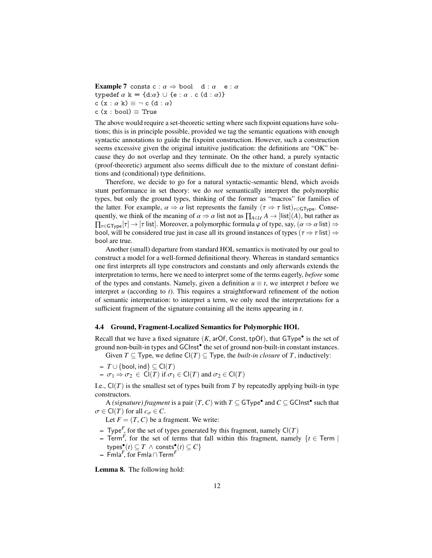**Example 7** consts c :  $\alpha \Rightarrow$  bool d :  $\alpha \in \alpha$ typedef  $\alpha$  k = {d: $\alpha$ }  $\cup$  {e :  $\alpha$  . c (d :  $\alpha$ )} c  $(x : \alpha k) \equiv \neg c$  (d :  $\alpha$ ) c  $(x : bool) \equiv True$ 

The above would require a set-theoretic setting where such fixpoint equations have solutions; this is in principle possible, provided we tag the semantic equations with enough syntactic annotations to guide the fixpoint construction. However, such a construction seems excessive given the original intuitive justification: the definitions are "OK" because they do not overlap and they terminate. On the other hand, a purely syntactic (proof-theoretic) argument also seems difficult due to the mixture of constant definitions and (conditional) type definitions.

Therefore, we decide to go for a natural syntactic-semantic blend, which avoids stunt performance in set theory: we do *not* semantically interpret the polymorphic types, but only the ground types, thinking of the former as "macros" for families of the latter. For example,  $\alpha \Rightarrow \alpha$  list represents the family  $(\tau \Rightarrow \tau \text{ list})_{\tau \in \text{GType}}$ . Consequently, we think of the meaning of  $\alpha \Rightarrow \alpha$  list not as  $\prod_{A \in \mathcal{U}} A \rightarrow [$ list] $(A)$ , but rather as  $\prod_{\tau \in \mathsf{GType}}[\tau] \to [\tau]$  list]. Moreover, a polymorphic formula  $\varphi$  of type, say,  $(\alpha \Rightarrow \alpha \text{ list}) \Rightarrow$ bool, will be considered true just in case all its ground instances of types ( $\tau \Rightarrow \tau$  list)  $\Rightarrow$ bool are true.

Another (small) departure from standard HOL semantics is motivated by our goal to construct a model for a well-formed definitional theory. Whereas in standard semantics one first interprets all type constructors and constants and only afterwards extends the interpretation to terms, here we need to interpret some of the terms eagerly, *before* some of the types and constants. Namely, given a definition  $u \equiv t$ , we interpret *t* before we interpret *u* (according to *t*). This requires a straightforward refinement of the notion of semantic interpretation: to interpret a term, we only need the interpretations for a sufficient fragment of the signature containing all the items appearing in *t*.

#### <span id="page-11-0"></span>4.4 Ground, Fragment-Localized Semantics for Polymorphic HOL

Recall that we have a fixed signature  $(K, arOf, Const, tpOf)$ , that  $GType<sup>•</sup>$  is the set of ground non-huilt-in types and  $GCheck<sup>•</sup>$  the set of ground non-huilt-in constant instances ground non-built-in types and GCInst<sup>•</sup> the set of ground non-built-in constant instances.

Given *T*  $\subseteq$  Type, we define Cl(*T*)  $\subseteq$  Type, the *built-in closure* of *T*, inductively:

- *<sup>T</sup>* ∪ {bool, ind} ⊆ Cl(*T*)
- $-\sigma_1 \Rightarrow \sigma_2 \in \text{Cl}(T)$  if  $\sigma_1 \in \text{Cl}(T)$  and  $\sigma_2 \in \text{Cl}(T)$

I.e.,  $Cl(T)$  is the smallest set of types built from T by repeatedly applying built-in type constructors.

A *(signature) fragment* is a pair  $(T, C)$  with  $T \subseteq GType^{\bullet}$  and  $C \subseteq GClnst^{\bullet}$  such that  $C|(T)$  for all  $c \in C$  $\sigma \in \mathsf{Cl}(T)$  for all  $c_{\sigma} \in \mathcal{C}$ .

Let  $F = (T, C)$  be a fragment. We write:

- $-$  Type<sup>F</sup>, for the set of types generated by this fragment, namely  $Cl(T)$
- $\mathsf{Term}^F$ , for the set of terms that fall within this fragment, namely  $\{t \in \mathsf{Term} \mid \mathsf{Term} \}$  $\tt typees^{\bullet}(t) \subseteq T \land const^{\bullet}(t) \subseteq C$
- Fmla*<sup>F</sup>* , for Fmla∩Term*<sup>F</sup>*

<span id="page-11-1"></span>Lemma 8. The following hold: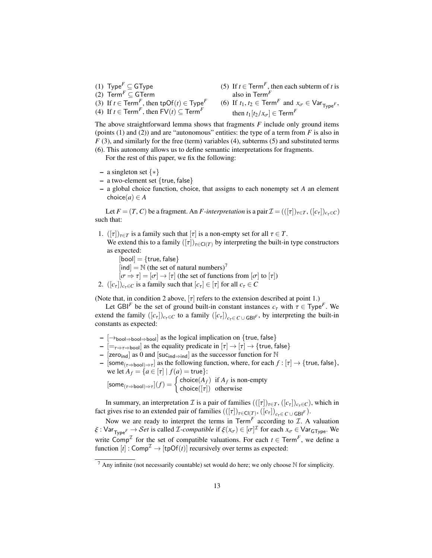- (1)  $Type<sup>F</sup> \subseteq GType$
- (2) Term*<sup>F</sup>* ⊆ GTerm
- (3) If  $t \in \mathsf{Term}^F$ , then  $\mathsf{tpOf}(t) \in \mathsf{Type}^F$
- (4) If  $t \in \mathsf{Term}^F$ , then  $\mathsf{FV}(t) \subseteq \mathsf{Term}^F$
- (5) If  $t \in \text{Term}^F$ , then each subterm of *t* is also in Term*<sup>F</sup>*
- (6) If  $t_1, t_2 \in \text{Term}^F$  and  $x_{\sigma} \in \text{Var}_{\text{Type}^F}$ , then  $t_1[t_2/x_{\sigma}] \in \text{Term}^F$

The above straightforward lemma shows that fragments *F* include only ground items (points (1) and (2)) and are "autonomous" entities: the type of a term from *F* is also in *F* (3), and similarly for the free (term) variables (4), subterms (5) and substituted terms (6). This autonomy allows us to define semantic interpretations for fragments.

For the rest of this paper, we fix the following:

- a singleton set {∗}
- a two-element set {true, false}
- a global choice function, choice, that assigns to each nonempty set *A* an element choice $(a) \in A$

Let  $F = (T, C)$  be a fragment. An *F*-interpretation is a pair  $\mathcal{I} = (([\tau])_{\tau \in T}, ([c_{\tau}])_{c_{\tau} \in C})$ such that:

- 1.  $(|\tau|)_{\tau \in T}$  is a family such that  $|\tau|$  is a non-empty set for all  $\tau \in T$ . We extend this to a family  $(\tau)_{\tau \in \mathsf{Cl}(T)}$  by interpreting the built-in type constructors as expected:
- $[bool] = {true, false}$  $\left[\text{ind}\right] = \mathbb{N}$  (the set of natural numbers)<sup>[7](#page-12-0)</sup>  $[\sigma \Rightarrow \tau] = [\sigma] \rightarrow [\tau]$  (the set of functions from  $[\sigma]$  to  $[\tau]$ ) 2.  $([c_{\tau}])_{c_{\tau} \in C}$  is a family such that  $[c_{\tau}] \in [\tau]$  for all  $c_{\tau} \in C$

(Note that, in condition 2 above,  $[\tau]$  refers to the extension described at point 1.)

Let GBI<sup>F</sup> be the set of ground built-in constant instances  $c_{\tau}$  with  $\tau \in Type^F$ . We extend the family  $([c_{\tau}])_{c_{\tau} \in C}$  to a family  $([c_{\tau}])_{c_{\tau} \in C \cup GB}$  by interpreting the built-in constants as expected constants as expected:

- [→bool⇒bool⇒bool] as the logical implication on {true, false}
- $[=_{\tau \Rightarrow \tau \Rightarrow \text{bool}}]$  as the equality predicate in  $[\tau] \rightarrow [\tau] \rightarrow \{\text{true}, \text{false}\}$
- [zero<sub>ind</sub>] as 0 and [suc<sub>ind⇒ind</sub>] as the successor function for  $\mathbb N$
- $\left[\text{some}_{(\tau \Rightarrow \text{bool}) \Rightarrow \tau}\right]$  as the following function, where, for each *f* :  $[\tau] \rightarrow \{\text{true}, \text{false}\},$ <br>we let  $\Delta \subset \int \alpha \subset [\tau] + f(\alpha) \text{true}\}\$ . we let  $A_f = \{a \in [\tau] \mid f(a) = \text{true}\}$ :

[some<sub>(τ\Rightarrow bool)</sub>
$$
\Rightarrow
$$
<sub>τ</sub>](f) = { choice( $A_f$ ) if  $A_f$  is non-empty  
choice([τ]) otherwise

In summary, an interpretation *I* is a pair of families  $(([\tau])_{\tau \in T}, ([c_{\tau}])_{c_{\tau} \in C})$ , which in fact gives rise to an extended pair of families  $(([\tau])_{\tau \in \mathbb{C}(\tau)}, ([c_{\tau}])_{c_{\tau} \in \mathbb{C} \cup \mathbb{GBI}^F})$ .<br>Now we are easily to intervert the target in  $\mathcal{F}_{\text{max}}$  association to  $\mathcal{F}_{\text{max}}$ .

Now we are ready to interpret the terms in  $\text{Term}^F$  according to  $\mathcal{I}$ . A valuation  $\xi : Var_{Type^F} \to Set$  is called *I*-compatible if  $\xi(x_{\sigma}) \in [\sigma]^{\mathcal{I}}$  for each  $x_{\sigma} \in Var_{GType^F}$ . We write Comp<sup>*I*</sup> for the set of compatible valuations. For each  $t \in \text{Term}^F$ , we define a function  $[t]$ : Comp<sup> $\mathcal{I}$ </sup>  $\rightarrow$  [tpOf(*t*)] recursively over terms as expected:

<span id="page-12-0"></span> $7$  Any infinite (not necessarily countable) set would do here; we only choose  $\mathbb N$  for simplicity.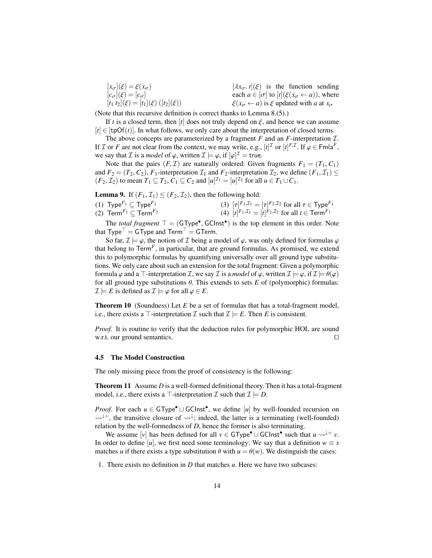$[x_{\sigma}](\xi) = \xi(x_{\sigma})$ <br> $[c_{-}](\xi) = [c_{-}]$  $[c_{\sigma}](\xi) = [c_{\sigma}]$ <br> $[t_1, t_2](\xi) = [t_1, t_2]$  $[t_1 t_2](\xi) = [t_1](\xi) ([t_2](\xi))$  $[\lambda x_{\sigma}, t](\xi)$  is the function sending each  $a \in [\sigma]$  to  $[t](\xi(x_{\sigma} \leftarrow a))$ , where  $\xi(x_{\sigma} \leftarrow a)$  is  $\xi$  updated with *a* at  $x_{\sigma}$ 

(Note that this recursive definition is correct thanks to Lemma [8.](#page-11-1)(5).)

If *t* is a closed term, then  $[t]$  does not truly depend on  $\xi$ , and hence we can assume  $[t] \in [\text{tpOf}(t)]$ . In what follows, we only care about the interpretation of closed terms.

The above concepts are parameterized by a fragment  $F$  and an  $F$ -interpretation  $\mathcal{I}$ . If *I* or *F* are not clear from the context, we may write, e.g.,  $[t]^{\mathcal{I}}$  or  $[t]^{\mathcal{F},\mathcal{I}}$ . If  $\varphi \in \text{Fmla}^{\mathcal{F}},$ <br>we say that *T* is a model of  $\varphi$  written  $\mathcal{T} \models \varphi$  if  $\lbrack \varphi \rbrack^{\mathcal{I}}$   $-$  true we say that *I* is a *model* of  $\varphi$ , written  $\mathcal{I} \models \varphi$ , if  $[\varphi]^{\mathcal{I}} = \text{true}$ .<br>Note that the pairs  $(F, \mathcal{T})$  are naturally ordered: Given

Note that the pairs  $(F, \mathcal{I})$  are naturally ordered: Given fragments  $F_1 = (T_1, C_1)$ and  $F_2 = (T_2, C_2)$ ,  $F_1$ -interpretation  $\mathcal{I}_1$  and  $F_2$ -interpretation  $\mathcal{I}_2$ , we define  $(F_1, \mathcal{I}_1) \leq$  $(F_2, \mathcal{I}_2)$  to mean  $T_1 \subseteq T_2$ ,  $C_1 \subseteq C_2$  and  $[u]^{\mathcal{I}_1} = [u]^{\mathcal{I}_2}$  for all  $u \in T_1 \cup C_1$ .

<span id="page-13-1"></span>**Lemma 9.** If  $(F_1, \mathcal{I}_1) \leq (F_2, \mathcal{I}_2)$ , then the following hold:

| (1) $TypeF_1 \subseteq TypeF_2$   | (3) $[\tau]^{F_1, \mathcal{I}_1} = [\tau]^{F_2, \mathcal{I}_2}$ for all $\tau \in Type^{F_1}$ |
|-----------------------------------|-----------------------------------------------------------------------------------------------|
| (2) Term $F_1 \subseteq Term F_2$ | (4) $[t]^{F_1,\mathcal{I}_1} = [t]^{F_2,\mathcal{I}_2}$ for all $t \in \text{Term}^{F_1}$     |

The *total fragment*  $\top = (GType^{\bullet}, GClnst^{\bullet})$  is the top element in this order. Note  $Two^{\top} - GTwo^{\top} = GTerm$ that  $Type<sup>T</sup> = GType$  and  $Term<sup>T</sup> = GTerm$ .

So far,  $\mathcal{I} \models \varphi$ , the notion of  $\mathcal I$  being a model of  $\varphi$ , was only defined for formulas  $\varphi$ that belong to Term*<sup>F</sup>* , in particular, that are ground formulas. As promised, we extend this to polymorphic formulas by quantifying universally over all ground type substitutions. We only care about such an extension for the total fragment: Given a polymorphic formula  $\varphi$  and a  $\top$ -interpretation  $\mathcal{I}$ , we say  $\mathcal{I}$  is a *model* of  $\varphi$ , written  $\mathcal{I} \models \varphi$ , if  $\mathcal{I} \models \theta(\varphi)$ for all ground type substitutions θ. This extends to sets *<sup>E</sup>* of (polymorphic) formulas:  $\mathcal{I} \models E$  is defined as  $\mathcal{I} \models \varphi$  for all  $\varphi \in E$ .

Theorem 10 (Soundness) Let *E* be a set of formulas that has a total-fragment model, i.e., there exists a  $\top$ -interpretation  $\mathcal I$  such that  $\mathcal I \models E$ . Then *E* is consistent.

*Proof.* It is routine to verify that the deduction rules for polymorphic HOL are sound w.r.t. our ground semantics.  $\Box$ 

### <span id="page-13-0"></span>4.5 The Model Construction

The only missing piece from the proof of consistency is the following:

**Theorem 11** Assume *D* is a well-formed definitional theory. Then it has a total-fragment model, i.e., there exists a  $\top$ -interpretation  $\mathcal I$  such that  $\mathcal I \models D$ .

*Proof.* For each  $u \in GType^{\bullet} \cup GClnst^{\bullet}$ , we define [*u*] by well-founded recursion on  $\rightsquigarrow^{\downarrow +}$ , the transitive closure of  $\rightsquigarrow^{\downarrow}$ ; indeed, the latter is a terminating (well-founded) relation by the well-formedness of *D*, hence the former is also terminating.

We assume [*v*] has been defined for all  $v \in GType^{\bullet} \cup GClnst^{\bullet}$  such that  $u \leadsto^{\downarrow +} v$ . In order to define [*u*], we first need some terminology: We say that a definition  $w \equiv s$ matches *u* if there exists a type substitution  $\theta$  with  $u = \theta(w)$ . We distinguish the cases:

1. There exists no definition in *D* that matches *u*. Here we have two subcases: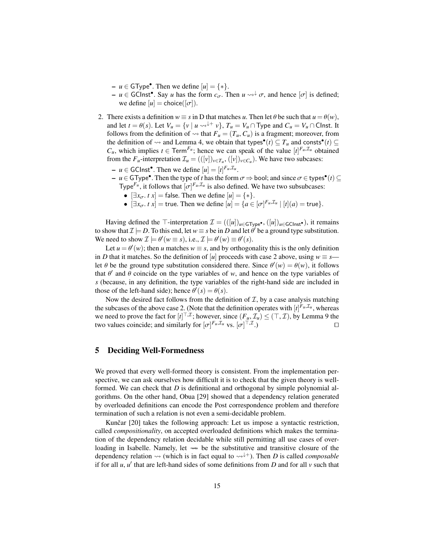$-u \in GType^{\bullet}$ . Then we define  $[u] = \{ * \}.$ 

- $u \in \text{GClnst}^{\bullet}$ . Say *u* has the form  $c_{\sigma}$ . Then  $u \leadsto^{\downarrow} \sigma$ , and hence  $[\sigma]$  is defined; we define  $[u]$  = choice( $[\sigma]$ ).
- 2. There exists a definition  $w \equiv s$  in D that matches *u*. Then let  $\theta$  be such that  $u = \theta(w)$ , and let  $t = \theta(s)$ . Let  $V_u = \{v \mid u \leadsto^{++} v\}$ ,  $T_u = V_u \cap \text{Type and } C_u = V_u \cap \text{Clnst. It}$ follows from the definition of  $\rightsquigarrow$  that  $F_u = (T_u, C_u)$  is a fragment; moreover, from the definition of  $\leadsto$  and Lemma [4,](#page-6-0) we obtain that types<sup>•</sup>(*t*)  $\subseteq T_u$  and consts<sup>•</sup>(*t*)  $\subseteq$ *C<sub>u</sub>*, which implies  $t \in \text{Term}^{F_u}$ ; hence we can speak of the value  $[t]^{F_u, \mathcal{I}_u}$  obtained from the  $F_u$ -interpretation  $\mathcal{I}_u = (([v])_{v \in \mathcal{I}_u}, ([v])_{v \in \mathcal{C}_u})$ . We have two subcases:
	- $u \in \mathsf{GClnst}^{\bullet}$ . Then we define  $[u] = [t]^{F_u, \mathcal{I}_u}$ .
	- $-$  *u* ∈ GType<sup>•</sup>. Then the type of *t* has the form *σ* ⇒ bool; and since *σ* ∈ types<sup>•</sup>(*t*) ⊆<br>Type<sup>F<sub>*u*</sub> it follows that [*α*]<sup>F<sub>*u*</sub>,T<sub>*u*</sub></sub> is also defined. We have two subsubcases:</sup></sup> Type<sup>*Fu*</sup>, it follows that  $[\sigma]^{F_u, \mathcal{I}_u}$  is also defined. We have two subsubcases:
		- $[\exists x_{\sigma}. t \ x] = \text{false}$ . Then we define  $[u] = \{*\}.$
		- $[\exists x_{\sigma}. t \ x] = \text{true}.$  Then we define  $[u] = \{a \in [\sigma]^{F_u, \mathcal{I}_u} \mid [t](a) = \text{true}\}.$

Having defined the  $\top$ -interpretation  $\mathcal{I} = (([u])_{u \in GType^{\bullet}}, ([u])_{u \in GCheck^{\bullet}})$ , it remains to show that  $\mathcal{I} \models D$ . To this end, let  $w \equiv s$  be in *D* and let  $\theta'$  be a ground type substitution.<br>We need to show  $\mathcal{I} \models \theta'(w = s)$  i.e.  $\mathcal{I} \models \theta'(w) = \theta'(s)$ We need to show  $\mathcal{I} \models \theta'(w \equiv s)$ , i.e.,  $\mathcal{I} \models \theta'(w) \equiv \theta'(s)$ .

Let  $u = \theta'(w)$ ; then *u* matches  $w \equiv s$ , and by orthogonality this is the only definition<br>Othat it matches. So the definition of [*u*] proceeds with case 2 above, using  $w = s$  in *D* that it matches. So the definition of [*u*] proceeds with case 2 above, using  $w \equiv s$  let  $\theta$  be the ground type substitution considered there. Since  $\theta'(w) = \theta(w)$ , it follows that  $\theta'$  and  $\theta$  coincide on the type variables of w and hence on the type variables of that  $\theta'$  and  $\theta$  coincide on the type variables of *w*, and hence on the type variables of *s* (because in any definition, the type variables of the right-hand side are included in *s* (because, in any definition, the type variables of the right-hand side are included in those of the left-hand side); hence  $\theta'(s) = \theta(s)$ .<br>Now the desired foot follows from the definition

Now the desired fact follows from the definition of  $I$ , by a case analysis matching the subcases of the above case 2. (Note that the definition operates with  $[t]^{F_u, \mathcal{I}_u}$ , whereas we need to prove the fact for  $[t]^{T,T}$ ; however, since  $(F_u, \mathcal{I}_u) \leq (\top, \mathcal{I})$ , by Lemma [9](#page-13-1) the two values coincide: and similarly for  $[c]^{T,L}$  vs.  $[c]^{T,\mathcal{I}}$ two values coincide; and similarly for  $[\sigma]^{F_u, \mathcal{I}_u}$  vs.  $[\sigma]^{T, \mathcal{I}}$ .)  $\qquad \qquad \Box$ 

# <span id="page-14-0"></span>5 Deciding Well-Formedness

We proved that every well-formed theory is consistent. From the implementation perspective, we can ask ourselves how difficult it is to check that the given theory is wellformed. We can check that *D* is definitional and orthogonal by simple polynomial algorithms. On the other hand, Obua [\[29\]](#page-16-13) showed that a dependency relation generated by overloaded definitions can encode the Post correspondence problem and therefore termination of such a relation is not even a semi-decidable problem.

Kunčar [\[20\]](#page-16-11) takes the following approach: Let us impose a syntactic restriction, called *compositionality*, on accepted overloaded definitions which makes the termination of the dependency relation decidable while still permitting all use cases of overloading in Isabelle. Namely, let  $\rightarrow$  be the substitutive and transitive closure of the dependency relation  $\rightsquigarrow$  (which is in fact equal to  $\rightsquigarrow^{+\dagger}$ ). Then *D* is called *composable* if for all *u*, *u'* that are left-hand sides of some definitions from *D* and for all *v* such that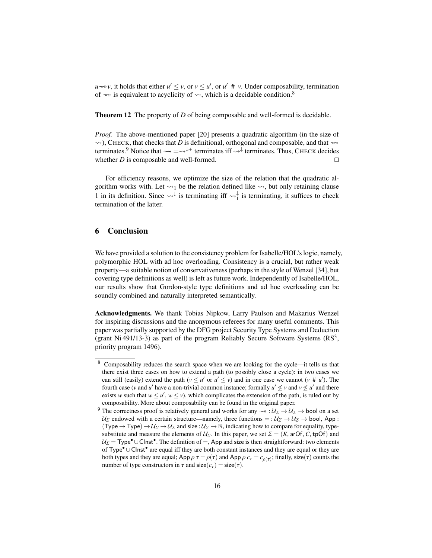$u \rightarrow v$ , it holds that either  $u' \le v$ , or  $v \le u'$ , or  $u' \ne v$ . Under composability, termination of  $\rightarrow$  is equivalent to acyclicity of  $\rightarrow$ , which is a decidable condition.<sup>[8](#page-15-0)</sup>

**Theorem 12** The property of *D* of being composable and well-formed is decidable.

*Proof.* The above-mentioned paper [\[20\]](#page-16-11) presents a quadratic algorithm (in the size of  $\sim$ ), CHECK, that checks that *D* is definitional, orthogonal and composable, and that  $\sim$ terminates.[9](#page-15-1) Notice that = <sup>↓</sup><sup>+</sup> terminates iff <sup>↓</sup> terminates. Thus, CHECK decides whether  $D$  is composable and well-formed.  $\square$ 

For efficiency reasons, we optimize the size of the relation that the quadratic algorithm works with. Let  $\leadsto_1$  be the relation defined like  $\leadsto$ , but only retaining clause 1 in its definition. Since  $\leadsto \downarrow$  is terminating iff  $\leadsto_1^{\downarrow}$  is terminating, it suffices to check termination of the latter.

# 6 Conclusion

We have provided a solution to the consistency problem for Isabelle/HOL's logic, namely, polymorphic HOL with ad hoc overloading. Consistency is a crucial, but rather weak property—a suitable notion of conservativeness (perhaps in the style of Wenzel [\[34\]](#page-17-0), but covering type definitions as well) is left as future work. Independently of Isabelle/HOL, our results show that Gordon-style type definitions and ad hoc overloading can be soundly combined and naturally interpreted semantically.

Acknowledgments. We thank Tobias Nipkow, Larry Paulson and Makarius Wenzel for inspiring discussions and the anonymous referees for many useful comments. This paper was partially supported by the DFG project Security Type Systems and Deduction (grant Ni 491/13-3) as part of the program Reliably Secure Software Systems  $(RS^3,$ priority program 1496).

<span id="page-15-0"></span><sup>8</sup> Composability reduces the search space when we are looking for the cycle—it tells us that there exist three cases on how to extend a path (to possibly close a cycle): in two cases we can still (easily) extend the path ( $v \le u'$  or  $u' \le v$ ) and in one case we cannot ( $v \ne u'$ ). The fourth case (*v* and *u*<sup> $\prime$ </sup> have a non-trivial common instance; formally  $u' \nleq v$  and  $v \nleq u'$  and there exists *w* such that  $w \le u'$ ,  $w \le v$ ), which complicates the extension of the path, is ruled out by composability. More about composability can be found in the original paper.

<span id="page-15-1"></span><sup>&</sup>lt;sup>9</sup> The correctness proof is relatively general and works for any  $\rightarrow \mathcal{U}_{\Sigma} \rightarrow \mathcal{U}_{\Sigma} \rightarrow$  bool on a set  $U_{\Sigma}$  endowed with a certain structure—namely, three functions = :  $U_{\Sigma} \to U_{\Sigma} \to$  bool, App : (Type  $\to$  Type)  $\to \mathcal{U}_{\Sigma} \to \mathcal{U}_{\Sigma}$  and size :  $\mathcal{U}_{\Sigma} \to \mathbb{N}$ , indicating how to compare for equality, typesubstitute and measure the elements of  $U_{\Sigma}$ . In this paper, we set  $\Sigma = (K, \text{arOf}, C, \text{tpOf})$  and  $U_{\Sigma}$  = Type<sup>•</sup> ∪ Clnst<sup>•</sup>. The definition of =, App and size is then straightforward: two elements of Type<sup>•</sup> ∪ Clnst<sup>•</sup> are equal iff they are both constant instances and they are equal or they are of Type<sup>•</sup> ∪ Clnst<sup>•</sup> are equal iff they are both constant instances and they are equal or they are both types and they are equal; App  $\rho \tau = \rho(\tau)$  and App  $\rho c_{\tau} = c_{\rho(\tau)}$ ; finally, size( $\tau$ ) counts the number of type constructors in  $\tau$  and size( $c$ )  $-\text{size}(\tau)$ number of type constructors in  $\tau$  and size( $c_{\tau}$ ) = size( $\tau$ ).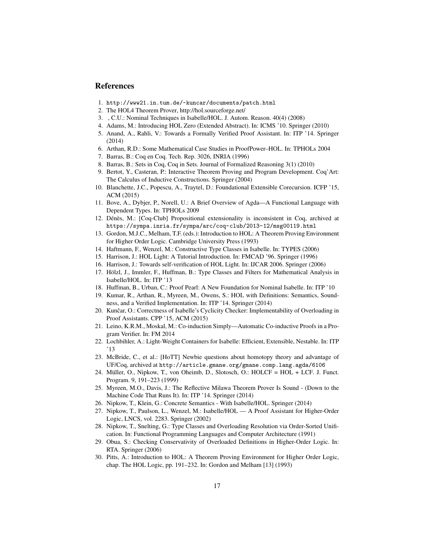# References

- <span id="page-16-10"></span>1. <http://www21.in.tum.de/~kuncar/documents/patch.html>
- <span id="page-16-1"></span>2. The HOL4 Theorem Prover, http://hol.sourceforge.net/
- <span id="page-16-8"></span>3. , C.U.: Nominal Techniques in Isabelle/HOL. J. Autom. Reason. 40(4) (2008)
- <span id="page-16-5"></span>4. Adams, M.: Introducing HOL Zero (Extended Abstract). In: ICMS '10. Springer (2010)
- <span id="page-16-27"></span>5. Anand, A., Rahli, V.: Towards a Formally Verified Proof Assistant. In: ITP '14. Springer (2014)
- <span id="page-16-4"></span>6. Arthan, R.D.: Some Mathematical Case Studies in ProofPower–HOL. In: TPHOLs 2004
- <span id="page-16-28"></span>7. Barras, B.: Coq en Coq. Tech. Rep. 3026, INRIA (1996)
- <span id="page-16-29"></span>8. Barras, B.: Sets in Coq, Coq in Sets. Journal of Formalized Reasoning 3(1) (2010)
- <span id="page-16-14"></span>9. Bertot, Y., Casteran, P.: Interactive Theorem Proving and Program Development. Coq'Art: The Calculus of Inductive Constructions. Springer (2004)
- <span id="page-16-19"></span>10. Blanchette, J.C., Popescu, A., Traytel, D.: Foundational Extensible Corecursion. ICFP '15, ACM (2015)
- <span id="page-16-16"></span>11. Bove, A., Dybjer, P., Norell, U.: A Brief Overview of Agda—A Functional Language with Dependent Types. In: TPHOLs 2009
- <span id="page-16-15"></span>12. Dénès, M.: [Coq-Club] Propositional extensionality is inconsistent in Coq, archived at <https://sympa.inria.fr/sympa/arc/coq-club/2013-12/msg00119.html>
- <span id="page-16-0"></span>13. Gordon, M.J.C., Melham, T.F. (eds.): Introduction to HOL: A Theorem Proving Environment for Higher Order Logic. Cambridge University Press (1993)
- <span id="page-16-9"></span>14. Haftmann, F., Wenzel, M.: Constructive Type Classes in Isabelle. In: TYPES (2006)
- <span id="page-16-3"></span>15. Harrison, J.: HOL Light: A Tutorial Introduction. In: FMCAD '96. Springer (1996)
- <span id="page-16-24"></span>16. Harrison, J.: Towards self-verification of HOL Light. In: IJCAR 2006. Springer (2006)
- <span id="page-16-22"></span>17. Hölzl, J., Immler, F., Huffman, B.: Type Classes and Filters for Mathematical Analysis in Isabelle/HOL. In: ITP '13
- <span id="page-16-20"></span>18. Huffman, B., Urban, C.: Proof Pearl: A New Foundation for Nominal Isabelle. In: ITP '10
- <span id="page-16-25"></span>19. Kumar, R., Arthan, R., Myreen, M., Owens, S.: HOL with Definitions: Semantics, Soundness, and a Verified Implementation. In: ITP '14. Springer (2014)
- <span id="page-16-11"></span>20. Kunčar, O.: Correctness of Isabelle's Cyclicity Checker: Implementability of Overloading in Proof Assistants. CPP '15, ACM (2015)
- <span id="page-16-18"></span>21. Leino, K.R.M., Moskal, M.: Co-induction Simply—Automatic Co-inductive Proofs in a Program Verifier. In: FM 2014
- <span id="page-16-23"></span>22. Lochbihler, A.: Light-Weight Containers for Isabelle: Efficient, Extensible, Nestable. In: ITP '13
- <span id="page-16-17"></span>23. McBride, C., et al.: [HoTT] Newbie questions about homotopy theory and advantage of UF/Coq, archived at <http://article.gmane.org/gmane.comp.lang.agda/6106>
- <span id="page-16-21"></span>24. Müller, O., Nipkow, T., von Oheimb, D., Slotosch, O.: HOLCF = HOL + LCF. J. Funct. Program. 9, 191–223 (1999)
- <span id="page-16-26"></span>25. Myreen, M.O., Davis, J.: The Reflective Milawa Theorem Prover Is Sound - (Down to the Machine Code That Runs It). In: ITP '14. Springer (2014)
- <span id="page-16-7"></span>26. Nipkow, T., Klein, G.: Concrete Semantics - With Isabelle/HOL. Springer (2014)
- <span id="page-16-2"></span>27. Nipkow, T., Paulson, L., Wenzel, M.: Isabelle/HOL — A Proof Assistant for Higher-Order Logic, LNCS, vol. 2283. Springer (2002)
- <span id="page-16-12"></span>28. Nipkow, T., Snelting, G.: Type Classes and Overloading Resolution via Order-Sorted Unification. In: Functional Programming Languages and Computer Architecture (1991)
- <span id="page-16-13"></span>29. Obua, S.: Checking Conservativity of Overloaded Definitions in Higher-Order Logic. In: RTA. Springer (2006)
- <span id="page-16-6"></span>30. Pitts, A.: Introduction to HOL: A Theorem Proving Environment for Higher Order Logic, chap. The HOL Logic, pp. 191–232. In: Gordon and Melham [\[13\]](#page-16-0) (1993)